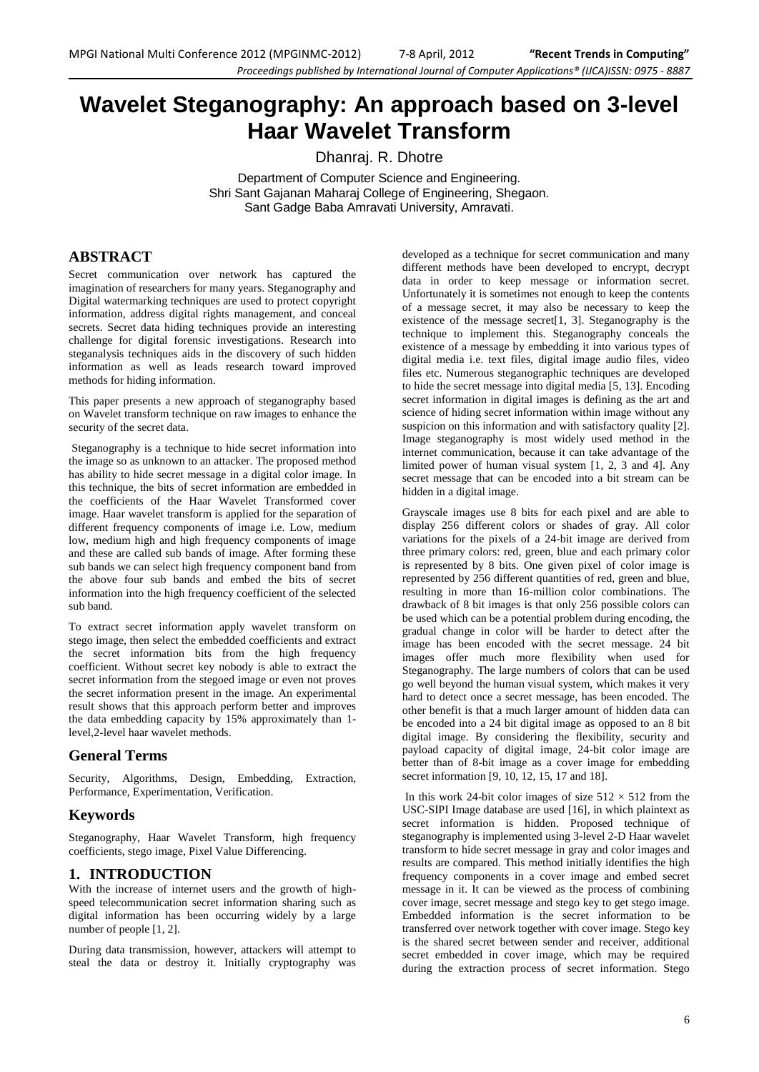# **Wavelet Steganography: An approach based on 3-level Haar Wavelet Transform**

Dhanraj. R. Dhotre

Department of Computer Science and Engineering. Shri Sant Gajanan Maharaj College of Engineering, Shegaon. Sant Gadge Baba Amravati University, Amravati.

# **ABSTRACT**

Secret communication over network has captured the imagination of researchers for many years. Steganography and Digital watermarking techniques are used to protect copyright information, address digital rights management, and conceal secrets. Secret data hiding techniques provide an interesting challenge for digital forensic investigations. Research into steganalysis techniques aids in the discovery of such hidden information as well as leads research toward improved methods for hiding information.

This paper presents a new approach of steganography based on Wavelet transform technique on raw images to enhance the security of the secret data.

Steganography is a technique to hide secret information into the image so as unknown to an attacker. The proposed method has ability to hide secret message in a digital color image. In this technique, the bits of secret information are embedded in the coefficients of the Haar Wavelet Transformed cover image. Haar wavelet transform is applied for the separation of different frequency components of image i.e. Low, medium low, medium high and high frequency components of image and these are called sub bands of image. After forming these sub bands we can select high frequency component band from the above four sub bands and embed the bits of secret information into the high frequency coefficient of the selected sub band.

To extract secret information apply wavelet transform on stego image, then select the embedded coefficients and extract the secret information bits from the high frequency coefficient. Without secret key nobody is able to extract the secret information from the stegoed image or even not proves the secret information present in the image. An experimental result shows that this approach perform better and improves the data embedding capacity by 15% approximately than 1 level,2-level haar wavelet methods.

## **General Terms**

Security, Algorithms, Design, Embedding, Extraction, Performance, Experimentation, Verification.

#### **Keywords**

Steganography, Haar Wavelet Transform, high frequency coefficients, stego image, Pixel Value Differencing.

## **1. INTRODUCTION**

With the increase of internet users and the growth of highspeed telecommunication secret information sharing such as digital information has been occurring widely by a large number of people [1, 2].

During data transmission, however, attackers will attempt to steal the data or destroy it. Initially cryptography was

developed as a technique for secret communication and many different methods have been developed to encrypt, decrypt data in order to keep message or information secret. Unfortunately it is sometimes not enough to keep the contents of a message secret, it may also be necessary to keep the existence of the message secret[1, 3]. Steganography is the technique to implement this. Steganography conceals the existence of a message by embedding it into various types of digital media i.e. text files, digital image audio files, video files etc. Numerous steganographic techniques are developed to hide the secret message into digital media [5, 13]. Encoding secret information in digital images is defining as the art and science of hiding secret information within image without any suspicion on this information and with satisfactory quality [2]. Image steganography is most widely used method in the internet communication, because it can take advantage of the limited power of human visual system [1, 2, 3 and 4]. Any secret message that can be encoded into a bit stream can be hidden in a digital image.

Grayscale images use 8 bits for each pixel and are able to display 256 different colors or shades of gray. All color variations for the pixels of a 24-bit image are derived from three primary colors: red, green, blue and each primary color is represented by 8 bits. One given pixel of color image is represented by 256 different quantities of red, green and blue, resulting in more than 16-million color combinations. The drawback of 8 bit images is that only 256 possible colors can be used which can be a potential problem during encoding, the gradual change in color will be harder to detect after the image has been encoded with the secret message. 24 bit images offer much more flexibility when used for Steganography. The large numbers of colors that can be used go well beyond the human visual system, which makes it very hard to detect once a secret message, has been encoded. The other benefit is that a much larger amount of hidden data can be encoded into a 24 bit digital image as opposed to an 8 bit digital image. By considering the flexibility, security and payload capacity of digital image, 24-bit color image are better than of 8-bit image as a cover image for embedding secret information [9, 10, 12, 15, 17 and 18].

In this work 24-bit color images of size  $512 \times 512$  from the USC-SIPI Image database are used [16], in which plaintext as secret information is hidden. Proposed technique of steganography is implemented using 3-level 2-D Haar wavelet transform to hide secret message in gray and color images and results are compared. This method initially identifies the high frequency components in a cover image and embed secret message in it. It can be viewed as the process of combining cover image, secret message and stego key to get stego image. Embedded information is the secret information to be transferred over network together with cover image. Stego key is the shared secret between sender and receiver, additional secret embedded in cover image, which may be required during the extraction process of secret information. Stego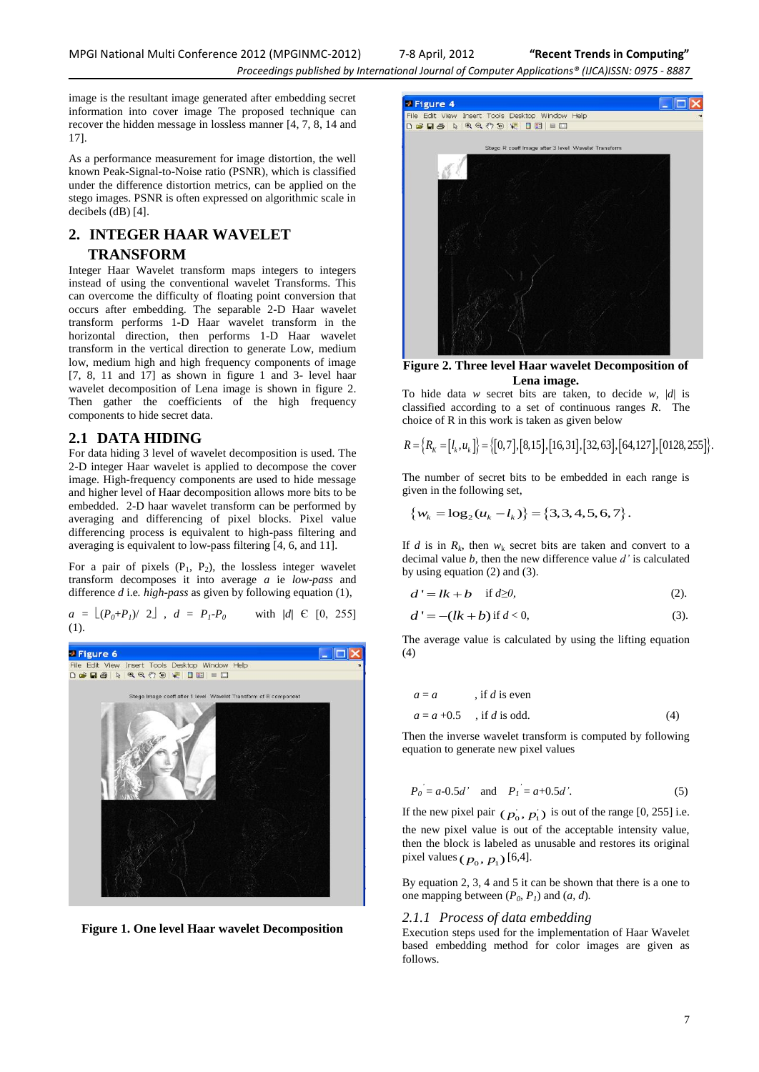image is the resultant image generated after embedding secret information into cover image The proposed technique can recover the hidden message in lossless manner [4, 7, 8, 14 and 17].

As a performance measurement for image distortion, the well known Peak-Signal-to-Noise ratio (PSNR), which is classified under the difference distortion metrics, can be applied on the stego images. PSNR is often expressed on algorithmic scale in decibels (dB) [4].

# **2. INTEGER HAAR WAVELET TRANSFORM**

Integer Haar Wavelet transform maps integers to integers instead of using the conventional wavelet Transforms. This can overcome the difficulty of floating point conversion that occurs after embedding. The separable 2-D Haar wavelet transform performs 1-D Haar wavelet transform in the horizontal direction, then performs 1-D Haar wavelet transform in the vertical direction to generate Low, medium low, medium high and high frequency components of image [7, 8, 11 and 17] as shown in figure 1 and 3- level haar wavelet decomposition of Lena image is shown in figure 2. Then gather the coefficients of the high frequency components to hide secret data.

# **2.1 DATA HIDING**

For data hiding 3 level of wavelet decomposition is used. The 2-D integer Haar wavelet is applied to decompose the cover image. High-frequency components are used to hide message and higher level of Haar decomposition allows more bits to be embedded. 2-D haar wavelet transform can be performed by averaging and differencing of pixel blocks. Pixel value differencing process is equivalent to high-pass filtering and averaging is equivalent to low-pass filtering [4, 6, and 11].

For a pair of pixels  $(P_1, P_2)$ , the lossless integer wavelet transform decomposes it into average *a* ie *low*-*pass* and difference *d* i.e*. high-pass* as given by following equation (1),

 $a = \lfloor (P_0 + P_1)/2 \rfloor$ ,  $d = P_1 - P_0$  with *|d|* Є [0, 255] (1).



**Figure 1. One level Haar wavelet Decomposition**



**Figure 2. Three level Haar wavelet Decomposition of Lena image.**

To hide data *w* secret bits are taken, to decide *w*,  $|d|$  is classified according to a set of continuous ranges *R*. The choice of R in this work is taken as given below

classified according to a set of continuous ranges *R*. The choice of *R* in this work is taken as given below\n
$$
R = \{R_K = [l_k, u_k]\} = \{[0, 7], [8, 15], [16, 31], [32, 63], [64, 127], [0128, 255]\}.
$$

The number of secret bits to be embedded in each range is

given in the following set,  
\n
$$
\{w_k = \log_2(u_k - l_k)\} = \{3, 3, 4, 5, 6, 7\}.
$$

If *d* is in  $R_k$ , then  $w_k$  secret bits are taken and convert to a decimal value *b*, then the new difference value *d'* is calculated by using equation (2) and (3).

$$
d' = lk + b \quad \text{if } d \ge 0,
$$
 (2).

$$
d' = -(lk + b) \text{ if } d < 0,
$$
\n
$$
(3).
$$

The average value is calculated by using the lifting equation (4)

$$
a = a \t\t , \text{if } d \text{ is even}
$$
  
 
$$
a = a + 0.5 \t , \text{if } d \text{ is odd.}
$$
 (4)

Then the inverse wavelet transform is computed by following equation to generate new pixel values

$$
P_0 = a - 0.5d'
$$
 and  $P_1 = a + 0.5d'$ . (5)

If the new pixel pair  $(p_0, p_1)$  is out of the range [0, 255] i.e. the new pixel value is out of the acceptable intensity value, then the block is labeled as unusable and restores its original pixel values  $(p_0, p_1)$  [6,4].

By equation 2, 3, 4 and 5 it can be shown that there is a one to one mapping between  $(P_0, P_1)$  and  $(a, d)$ .

#### *2.1.1 Process of data embedding*

Execution steps used for the implementation of Haar Wavelet based embedding method for color images are given as follows.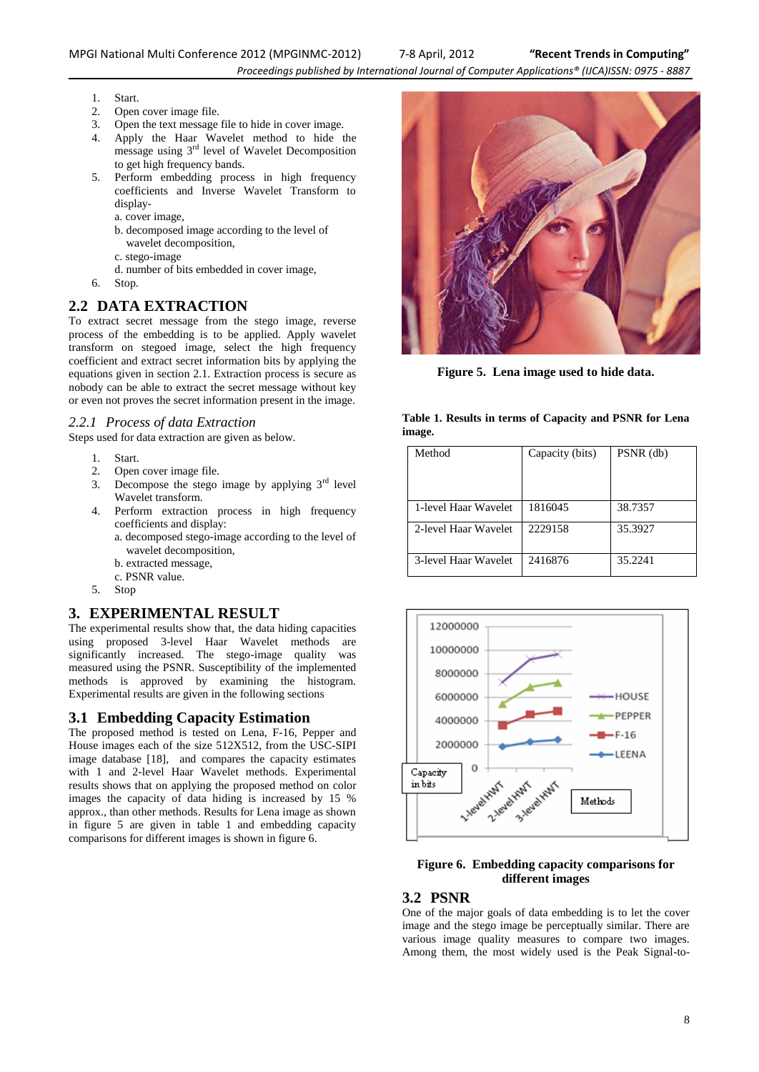- 1. Start.
- 2. Open cover image file.
- 3. Open the text message file to hide in cover image.
- 4. Apply the Haar Wavelet method to hide the  $\frac{1}{2}$  message using  $3^{rd}$  level of Wavelet Decomposition to get high frequency bands.
- 5. Perform embedding process in high frequency coefficients and Inverse Wavelet Transform to display-

a. cover image,

- b. decomposed image according to the level of wavelet decomposition,
- c. stego-image
- d. number of bits embedded in cover image,
- 6. Stop.

# **2.2 DATA EXTRACTION**

To extract secret message from the stego image, reverse process of the embedding is to be applied. Apply wavelet transform on stegoed image, select the high frequency coefficient and extract secret information bits by applying the equations given in section 2.1. Extraction process is secure as nobody can be able to extract the secret message without key or even not proves the secret information present in the image.

#### *2.2.1 Process of data Extraction*

Steps used for data extraction are given as below.

- 1. Start.
- 
- 2. Open cover image file.<br>3. Decompose the stego Decompose the stego image by applying  $3<sup>rd</sup>$  level Wavelet transform.
- 4. Perform extraction process in high frequency coefficients and display:
	- a. decomposed stego-image according to the level of wavelet decomposition,
	- b. extracted message,
	- c. PSNR value.
- 5. Stop

## **3. EXPERIMENTAL RESULT**

The experimental results show that, the data hiding capacities using proposed 3-level Haar Wavelet methods are significantly increased. The stego-image quality was measured using the PSNR. Susceptibility of the implemented methods is approved by examining the histogram. Experimental results are given in the following sections

## **3.1 Embedding Capacity Estimation**

The proposed method is tested on Lena, F-16, Pepper and House images each of the size 512X512, from the USC-SIPI image database [18], and compares the capacity estimates with 1 and 2-level Haar Wavelet methods. Experimental results shows that on applying the proposed method on color images the capacity of data hiding is increased by 15 % approx., than other methods. Results for Lena image as shown in figure 5 are given in table 1 and embedding capacity comparisons for different images is shown in figure 6.



**Figure 5. Lena image used to hide data.**

#### **Table 1. Results in terms of Capacity and PSNR for Lena image.**

| Method               | Capacity (bits) | PSNR (db) |
|----------------------|-----------------|-----------|
| 1-level Haar Wavelet | 1816045         | 38.7357   |
| 2-level Haar Wavelet | 2229158         | 35.3927   |
| 3-level Haar Wavelet | 2416876         | 35.2241   |



#### **Figure 6. Embedding capacity comparisons for different images**

# **3.2 PSNR**

One of the major goals of data embedding is to let the cover image and the stego image be perceptually similar. There are various image quality measures to compare two images. Among them, the most widely used is the Peak Signal-to